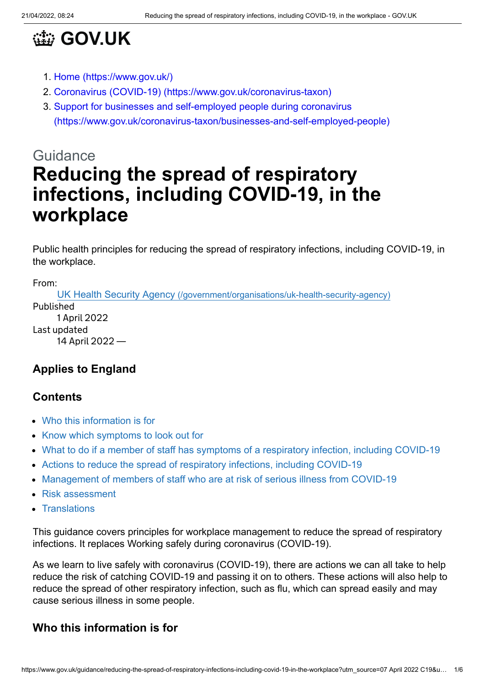

- 1. [Home \(https://www.gov.uk/\)](https://www.gov.uk/)
- 2. [Coronavirus \(COVID-19\) \(https://www.gov.uk/coronavirus-taxon\)](https://www.gov.uk/coronavirus-taxon)
- 3. Support for businesses and self-employed people during coronavirus [\(https://www.gov.uk/coronavirus-taxon/businesses-and-self-employed-people\)](https://www.gov.uk/coronavirus-taxon/businesses-and-self-employed-people)

# Guidance **Reducing the spread of respiratory infections, including COVID-19, in the workplace**

Public health principles for reducing the spread of respiratory infections, including COVID-19, in the workplace.

From:

UK Health Security Agency [\(/government/organisations/uk-health-security-agency\)](https://www.gov.uk/government/organisations/uk-health-security-agency) Published 1 April 2022 Last updated 14 April 2022 —

#### **Applies to England**

#### **Contents**

- [Who this information is for](#page-0-0)
- [Know which symptoms to look out for](#page-1-0)
- [What to do if a member of staff has symptoms of a respiratory infection, including COVID-19](#page-1-1)
- [Actions to reduce the spread of respiratory infections, including COVID-19](#page-1-2)
- [Management of members of staff who are at risk of serious illness from COVID-19](#page-2-0)
- [Risk assessment](#page-3-0)
- [Translations](#page-3-1)

This guidance covers principles for workplace management to reduce the spread of respiratory infections. It replaces Working safely during coronavirus (COVID-19).

As we learn to live safely with coronavirus (COVID-19), there are actions we can all take to help reduce the risk of catching COVID-19 and passing it on to others. These actions will also help to reduce the spread of other respiratory infection, such as flu, which can spread easily and may cause serious illness in some people.

#### <span id="page-0-0"></span>**Who this information is for**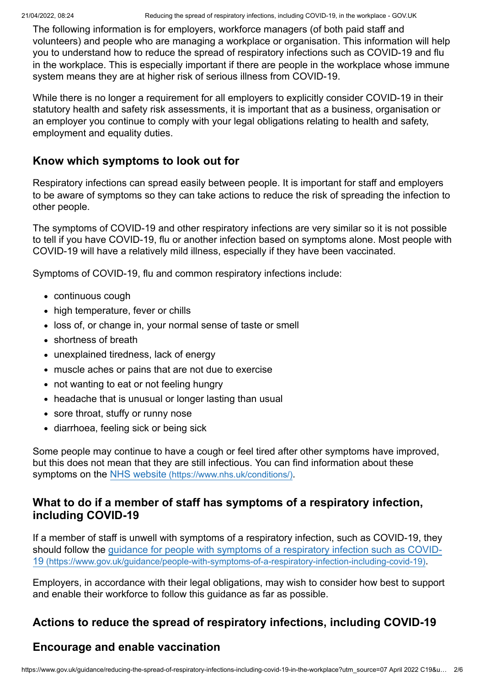The following information is for employers, workforce managers (of both paid staff and volunteers) and people who are managing a workplace or organisation. This information will help you to understand how to reduce the spread of respiratory infections such as COVID-19 and flu in the workplace. This is especially important if there are people in the workplace whose immune system means they are at higher risk of serious illness from COVID-19.

While there is no longer a requirement for all employers to explicitly consider COVID-19 in their statutory health and safety risk assessments, it is important that as a business, organisation or an employer you continue to comply with your legal obligations relating to health and safety, employment and equality duties.

#### <span id="page-1-0"></span>**Know which symptoms to look out for**

Respiratory infections can spread easily between people. It is important for staff and employers to be aware of symptoms so they can take actions to reduce the risk of spreading the infection to other people.

The symptoms of COVID-19 and other respiratory infections are very similar so it is not possible to tell if you have COVID-19, flu or another infection based on symptoms alone. Most people with COVID-19 will have a relatively mild illness, especially if they have been vaccinated.

Symptoms of COVID-19, flu and common respiratory infections include:

- continuous cough
- high temperature, fever or chills
- loss of, or change in, your normal sense of taste or smell
- shortness of breath
- unexplained tiredness, lack of energy
- muscle aches or pains that are not due to exercise
- not wanting to eat or not feeling hungry
- headache that is unusual or longer lasting than usual
- sore throat, stuffy or runny nose
- diarrhoea, feeling sick or being sick

Some people may continue to have a cough or feel tired after other symptoms have improved, but this does not mean that they are still infectious. You can find information about these symptoms on the NHS website [\(https://www.nhs.uk/conditions/\)](https://www.nhs.uk/conditions/).

#### <span id="page-1-1"></span>**What to do if a member of staff has symptoms of a respiratory infection, including COVID-19**

If a member of staff is unwell with symptoms of a respiratory infection, such as COVID-19, they [should follow the guidance for people with symptoms of a respiratory infection such as COVID-](https://www.gov.uk/guidance/people-with-symptoms-of-a-respiratory-infection-including-covid-19)19 (https://www.gov.uk/guidance/people-with-symptoms-of-a-respiratory-infection-including-covid-19).

Employers, in accordance with their legal obligations, may wish to consider how best to support and enable their workforce to follow this guidance as far as possible.

#### <span id="page-1-2"></span>**Actions to reduce the spread of respiratory infections, including COVID-19**

#### **Encourage and enable vaccination**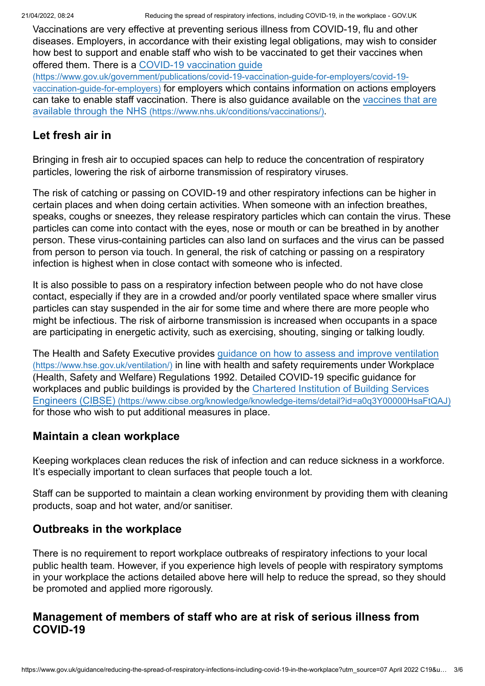Vaccinations are very effective at preventing serious illness from COVID-19, flu and other diseases. Employers, in accordance with their existing legal obligations, may wish to consider how best to support and enable staff who wish to be vaccinated to get their vaccines when offered them. There is a COVID-19 vaccination guide

[\(https://www.gov.uk/government/publications/covid-19-vaccination-guide-for-employers/covid-19](https://www.gov.uk/government/publications/covid-19-vaccination-guide-for-employers/covid-19-vaccination-guide-for-employers) vaccination-guide-for-employers) for employers which contains information on actions employers [can take to enable staff vaccination. There is also guidance available on the vaccines that are](https://www.nhs.uk/conditions/vaccinations/) available through the NHS (https://www.nhs.uk/conditions/vaccinations/).

#### **Let fresh air in**

Bringing in fresh air to occupied spaces can help to reduce the concentration of respiratory particles, lowering the risk of airborne transmission of respiratory viruses.

The risk of catching or passing on COVID-19 and other respiratory infections can be higher in certain places and when doing certain activities. When someone with an infection breathes, speaks, coughs or sneezes, they release respiratory particles which can contain the virus. These particles can come into contact with the eyes, nose or mouth or can be breathed in by another person. These virus-containing particles can also land on surfaces and the virus can be passed from person to person via touch. In general, the risk of catching or passing on a respiratory infection is highest when in close contact with someone who is infected.

It is also possible to pass on a respiratory infection between people who do not have close contact, especially if they are in a crowded and/or poorly ventilated space where smaller virus particles can stay suspended in the air for some time and where there are more people who might be infectious. The risk of airborne transmission is increased when occupants in a space are participating in energetic activity, such as exercising, shouting, singing or talking loudly.

[The Health and Safety Executive provides guidance on how to assess and improve ventilation](https://www.hse.gov.uk/ventilation/) (https://www.hse.gov.uk/ventilation/) in line with health and safety requirements under Workplace (Health, Safety and Welfare) Regulations 1992. Detailed COVID-19 specific guidance for [workplaces and public buildings is provided by the Chartered Institution of Building Services](https://www.cibse.org/knowledge/knowledge-items/detail?id=a0q3Y00000HsaFtQAJ) Engineers (CIBSE) (https://www.cibse.org/knowledge/knowledge-items/detail?id=a0q3Y00000HsaFtQAJ) for those who wish to put additional measures in place.

#### **Maintain a clean workplace**

Keeping workplaces clean reduces the risk of infection and can reduce sickness in a workforce. It's especially important to clean surfaces that people touch a lot.

Staff can be supported to maintain a clean working environment by providing them with cleaning products, soap and hot water, and/or sanitiser.

#### **Outbreaks in the workplace**

There is no requirement to report workplace outbreaks of respiratory infections to your local public health team. However, if you experience high levels of people with respiratory symptoms in your workplace the actions detailed above here will help to reduce the spread, so they should be promoted and applied more rigorously.

#### <span id="page-2-0"></span>**Management of members of staff who are at risk of serious illness from COVID-19**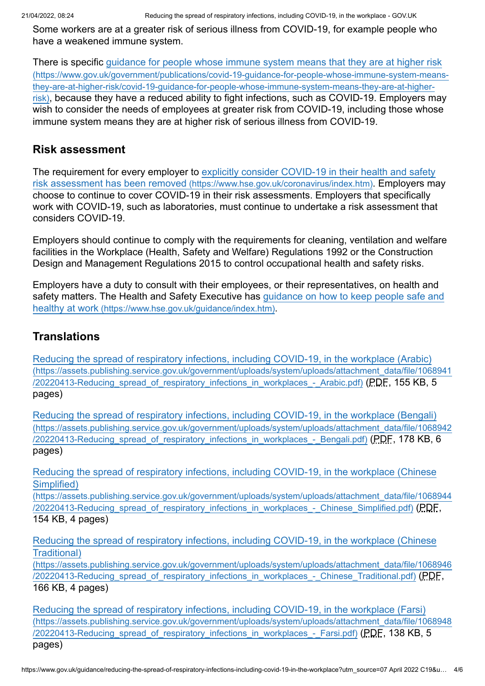Some workers are at a greater risk of serious illness from COVID-19, for example people who have a weakened immune system.

[There is specific guidance for people whose immune system means that they are at higher risk](https://www.gov.uk/government/publications/covid-19-guidance-for-people-whose-immune-system-means-they-are-at-higher-risk/covid-19-guidance-for-people-whose-immune-system-means-they-are-at-higher-risk) (https://www.gov.uk/government/publications/covid-19-guidance-for-people-whose-immune-system-meansthey-are-at-higher-risk/covid-19-guidance-for-people-whose-immune-system-means-they-are-at-higherrisk), because they have a reduced ability to fight infections, such as COVID-19. Employers may wish to consider the needs of employees at greater risk from COVID-19, including those whose immune system means they are at higher risk of serious illness from COVID-19.

#### <span id="page-3-0"></span>**Risk assessment**

[The requirement for every employer to explicitly consider COVID-19 in their health and safety](https://www.hse.gov.uk/coronavirus/index.htm) risk assessment has been removed (https://www.hse.gov.uk/coronavirus/index.htm). Employers may choose to continue to cover COVID-19 in their risk assessments. Employers that specifically work with COVID-19, such as laboratories, must continue to undertake a risk assessment that considers COVID-19.

Employers should continue to comply with the requirements for cleaning, ventilation and welfare facilities in the Workplace (Health, Safety and Welfare) Regulations 1992 or the Construction Design and Management Regulations 2015 to control occupational health and safety risks.

Employers have a duty to consult with their employees, or their representatives, on health and [safety matters. The Health and Safety Executive has guidance on how to keep people safe and](https://www.hse.gov.uk/guidance/index.htm) healthy at work (https://www.hse.gov.uk/guidance/index.htm).

## <span id="page-3-1"></span>**Translations**

[Reducing the spread of respiratory infections, including COVID-19, in the workplace \(Arabic\)](https://assets.publishing.service.gov.uk/government/uploads/system/uploads/attachment_data/file/1068941/20220413-Reducing_spread_of_respiratory_infections_in_workplaces_-_Arabic.pdf) (https://assets.publishing.service.gov.uk/government/uploads/system/uploads/attachment\_data/file/1068941 /20220413-Reducing spread of respiratory infections in workplaces - Arabic.pdf) (PDF, 155 KB, 5 pages)

[Reducing the spread of respiratory infections, including COVID-19, in the workplace \(Bengali\)](https://assets.publishing.service.gov.uk/government/uploads/system/uploads/attachment_data/file/1068942/20220413-Reducing_spread_of_respiratory_infections_in_workplaces_-_Bengali.pdf) (https://assets.publishing.service.gov.uk/government/uploads/system/uploads/attachment\_data/file/1068942 /20220413-Reducing spread of respiratory infections in workplaces - Bengali.pdf) (PDF, 178 KB, 6 pages)

[Reducing the spread of respiratory infections, including COVID-19, in the workplace \(Chinese](https://assets.publishing.service.gov.uk/government/uploads/system/uploads/attachment_data/file/1068944/20220413-Reducing_spread_of_respiratory_infections_in_workplaces_-_Chinese_Simplified.pdf) Simplified)

(https://assets.publishing.service.gov.uk/government/uploads/system/uploads/attachment\_data/file/1068944 /20220413-Reducing spread of respiratory infections in workplaces - Chinese Simplified.pdf) (PDF, 154 KB, 4 pages)

[Reducing the spread of respiratory infections, including COVID-19, in the workplace \(Chinese](https://assets.publishing.service.gov.uk/government/uploads/system/uploads/attachment_data/file/1068946/20220413-Reducing_spread_of_respiratory_infections_in_workplaces_-_Chinese_Traditional.pdf) Traditional)

(https://assets.publishing.service.gov.uk/government/uploads/system/uploads/attachment\_data/file/1068946 /20220413-Reducing spread of respiratory infections in workplaces - Chinese Traditional.pdf) (PDF, 166 KB, 4 pages)

[Reducing the spread of respiratory infections, including COVID-19, in the workplace \(Farsi\)](https://assets.publishing.service.gov.uk/government/uploads/system/uploads/attachment_data/file/1068948/20220413-Reducing_spread_of_respiratory_infections_in_workplaces_-_Farsi.pdf) (https://assets.publishing.service.gov.uk/government/uploads/system/uploads/attachment\_data/file/1068948 /20220413-Reducing\_spread\_of\_respiratory\_infections\_in\_workplaces\_-\_Farsi.pdf) (PDF, 138 KB, 5 pages)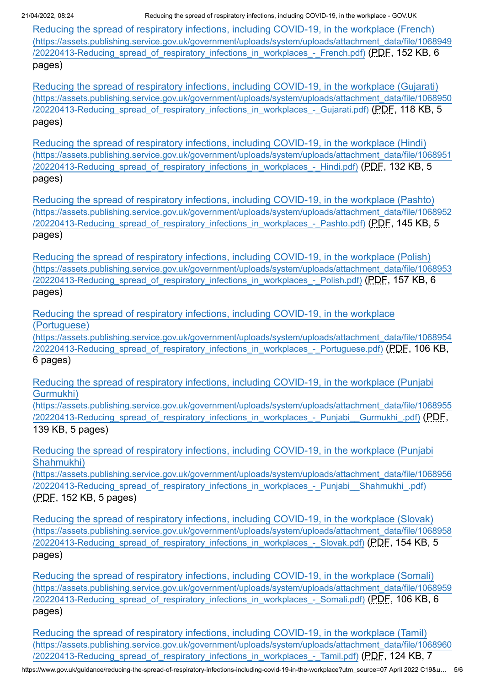21/04/2022, 08:24 Reducing the spread of respiratory infections, including COVID-19, in the workplace - GOV.UK

[Reducing the spread of respiratory infections, including COVID-19, in the workplace \(French\)](https://assets.publishing.service.gov.uk/government/uploads/system/uploads/attachment_data/file/1068949/20220413-Reducing_spread_of_respiratory_infections_in_workplaces_-_French.pdf) (https://assets.publishing.service.gov.uk/government/uploads/system/uploads/attachment\_data/file/1068949 /20220413-Reducing spread of respiratory infections in workplaces - French.pdf) (PDF, 152 KB, 6 pages)

[Reducing the spread of respiratory infections, including COVID-19, in the workplace \(Gujarati\)](https://assets.publishing.service.gov.uk/government/uploads/system/uploads/attachment_data/file/1068950/20220413-Reducing_spread_of_respiratory_infections_in_workplaces_-_Gujarati.pdf) (https://assets.publishing.service.gov.uk/government/uploads/system/uploads/attachment\_data/file/1068950 /20220413-Reducing\_spread\_of\_respiratory\_infections\_in\_workplaces\_-\_Gujarati.pdf) (PDF, 118 KB, 5 pages)

[Reducing the spread of respiratory infections, including COVID-19, in the workplace \(Hindi\)](https://assets.publishing.service.gov.uk/government/uploads/system/uploads/attachment_data/file/1068951/20220413-Reducing_spread_of_respiratory_infections_in_workplaces_-_Hindi.pdf) (https://assets.publishing.service.gov.uk/government/uploads/system/uploads/attachment\_data/file/1068951 /20220413-Reducing spread of respiratory infections in workplaces - Hindi.pdf) (PDF, 132 KB, 5 pages)

[Reducing the spread of respiratory infections, including COVID-19, in the workplace \(Pashto\)](https://assets.publishing.service.gov.uk/government/uploads/system/uploads/attachment_data/file/1068952/20220413-Reducing_spread_of_respiratory_infections_in_workplaces_-_Pashto.pdf) (https://assets.publishing.service.gov.uk/government/uploads/system/uploads/attachment\_data/file/1068952 /20220413-Reducing spread of respiratory infections in workplaces - Pashto.pdf) (PDF, 145 KB, 5 pages)

[Reducing the spread of respiratory infections, including COVID-19, in the workplace \(Polish\)](https://assets.publishing.service.gov.uk/government/uploads/system/uploads/attachment_data/file/1068953/20220413-Reducing_spread_of_respiratory_infections_in_workplaces_-_Polish.pdf) (https://assets.publishing.service.gov.uk/government/uploads/system/uploads/attachment\_data/file/1068953 /20220413-Reducing spread of respiratory infections in workplaces - Polish.pdf) (PDF, 157 KB, 6 pages)

Reducing the spread of respiratory infections, including COVID-19, in the workplace (Portuguese)

[\(https://assets.publishing.service.gov.uk/government/uploads/system/uploads/attachment\\_data/file/1068954](https://assets.publishing.service.gov.uk/government/uploads/system/uploads/attachment_data/file/1068954/20220413-Reducing_spread_of_respiratory_infections_in_workplaces_-_Portuguese.pdf) /20220413-Reducing spread of respiratory infections in workplaces - Portuguese.pdf) (PDF, 106 KB, 6 pages)

[Reducing the spread of respiratory infections, including COVID-19, in the workplace \(Punjabi](https://assets.publishing.service.gov.uk/government/uploads/system/uploads/attachment_data/file/1068955/20220413-Reducing_spread_of_respiratory_infections_in_workplaces_-_Punjabi__Gurmukhi_.pdf) Gurmukhi)

(https://assets.publishing.service.gov.uk/government/uploads/system/uploads/attachment\_data/file/1068955 /20220413-Reducing spread of respiratory infections in workplaces - Punjabi Gurmukhi .pdf) (PDF, 139 KB, 5 pages)

[Reducing the spread of respiratory infections, including COVID-19, in the workplace \(Punjabi](https://assets.publishing.service.gov.uk/government/uploads/system/uploads/attachment_data/file/1068956/20220413-Reducing_spread_of_respiratory_infections_in_workplaces_-_Punjabi__Shahmukhi_.pdf) Shahmukhi)

(https://assets.publishing.service.gov.uk/government/uploads/system/uploads/attachment\_data/file/1068956 /20220413-Reducing spread of respiratory infections in workplaces - Punjabi Shahmukhi .pdf) (PDF, 152 KB, 5 pages)

[Reducing the spread of respiratory infections, including COVID-19, in the workplace \(Slovak\)](https://assets.publishing.service.gov.uk/government/uploads/system/uploads/attachment_data/file/1068958/20220413-Reducing_spread_of_respiratory_infections_in_workplaces_-_Slovak.pdf) (https://assets.publishing.service.gov.uk/government/uploads/system/uploads/attachment\_data/file/1068958 /20220413-Reducing spread of respiratory infections in workplaces - Slovak.pdf) (PDF, 154 KB, 5 pages)

[Reducing the spread of respiratory infections, including COVID-19, in the workplace \(Somali\)](https://assets.publishing.service.gov.uk/government/uploads/system/uploads/attachment_data/file/1068959/20220413-Reducing_spread_of_respiratory_infections_in_workplaces_-_Somali.pdf) (https://assets.publishing.service.gov.uk/government/uploads/system/uploads/attachment\_data/file/1068959 /20220413-Reducing spread of respiratory infections in workplaces - Somali.pdf) (PDF, 106 KB, 6 pages)

[Reducing the spread of respiratory infections, including COVID-19, in the workplace \(Tamil\)](https://assets.publishing.service.gov.uk/government/uploads/system/uploads/attachment_data/file/1068960/20220413-Reducing_spread_of_respiratory_infections_in_workplaces_-_Tamil.pdf) (https://assets.publishing.service.gov.uk/government/uploads/system/uploads/attachment\_data/file/1068960 /20220413-Reducing spread of respiratory infections in workplaces - Tamil.pdf) (PDF, 124 KB, 7